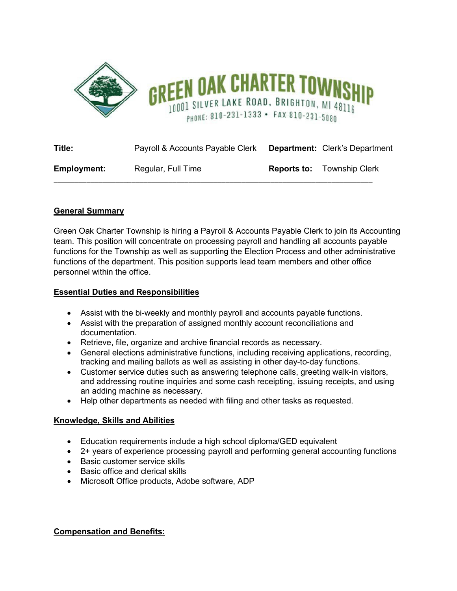

| Title:             | Payroll & Accounts Payable Clerk | <b>Department:</b> Clerk's Department |
|--------------------|----------------------------------|---------------------------------------|
| <b>Employment:</b> | Regular, Full Time               | <b>Reports to:</b> Township Clerk     |

# **General Summary**

Green Oak Charter Township is hiring a Payroll & Accounts Payable Clerk to join its Accounting team. This position will concentrate on processing payroll and handling all accounts payable functions for the Township as well as supporting the Election Process and other administrative functions of the department. This position supports lead team members and other office personnel within the office.

## **Essential Duties and Responsibilities**

- Assist with the bi-weekly and monthly payroll and accounts payable functions.
- Assist with the preparation of assigned monthly account reconciliations and documentation.
- Retrieve, file, organize and archive financial records as necessary.
- General elections administrative functions, including receiving applications, recording, tracking and mailing ballots as well as assisting in other day-to-day functions.
- Customer service duties such as answering telephone calls, greeting walk-in visitors, and addressing routine inquiries and some cash receipting, issuing receipts, and using an adding machine as necessary.
- Help other departments as needed with filing and other tasks as requested.

## **Knowledge, Skills and Abilities**

- Education requirements include a high school diploma/GED equivalent
- 2+ years of experience processing payroll and performing general accounting functions
- Basic customer service skills
- Basic office and clerical skills
- Microsoft Office products, Adobe software, ADP

## **Compensation and Benefits:**